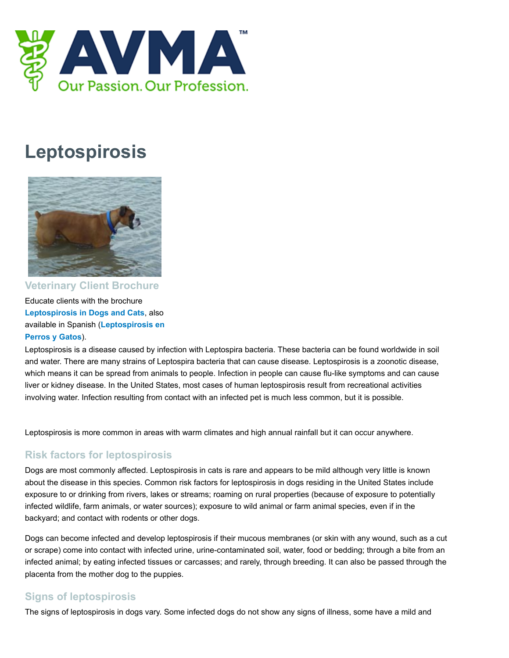

## **Leptospirosis**



**Veterinary Client Brochure**

Educate clients with the brochure **[Leptospirosis in Dogs and Cats](https://ebusiness.avma.org/ProductCatalog/product.aspx?ID=288)**, also [available in Spanish \(](https://ebusiness.avma.org/ProductCatalog/product.aspx?ID=289)**Leptospirosis en Perros y Gatos**).

Leptospirosis is a disease caused by infection with Leptospira bacteria. These bacteria can be found worldwide in soil and water. There are many strains of Leptospira bacteria that can cause disease. Leptospirosis is a zoonotic disease, which means it can be spread from animals to people. Infection in people can cause flu-like symptoms and can cause liver or kidney disease. In the United States, most cases of human leptospirosis result from recreational activities involving water. Infection resulting from contact with an infected pet is much less common, but it is possible.

Leptospirosis is more common in areas with warm climates and high annual rainfall but it can occur anywhere.

## **Risk factors for leptospirosis**

Dogs are most commonly affected. Leptospirosis in cats is rare and appears to be mild although very little is known about the disease in this species. Common risk factors for leptospirosis in dogs residing in the United States include exposure to or drinking from rivers, lakes or streams; roaming on rural properties (because of exposure to potentially infected wildlife, farm animals, or water sources); exposure to wild animal or farm animal species, even if in the backyard; and contact with rodents or other dogs.

Dogs can become infected and develop leptospirosis if their mucous membranes (or skin with any wound, such as a cut or scrape) come into contact with infected urine, urine-contaminated soil, water, food or bedding; through a bite from an infected animal; by eating infected tissues or carcasses; and rarely, through breeding. It can also be passed through the placenta from the mother dog to the puppies.

## **Signs of leptospirosis**

The signs of leptospirosis in dogs vary. Some infected dogs do not show any signs of illness, some have a mild and